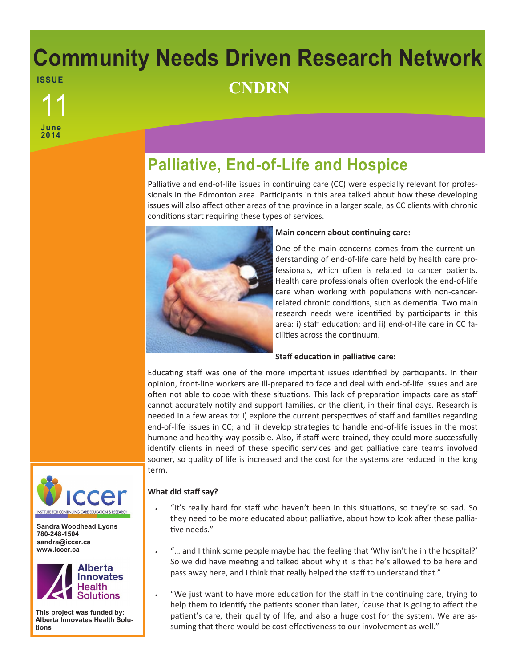# **Community Needs Driven Research Network ISSUE** <sup>11</sup> **CNDRN**

**June 2014**

**Palliative, End-of-Life and Hospice**

Palliative and end-of-life issues in continuing care (CC) were especially relevant for professionals in the Edmonton area. Participants in this area talked about how these developing issues will also affect other areas of the province in a larger scale, as CC clients with chronic conditions start requiring these types of services.



## **Main concern about continuing care:**

One of the main concerns comes from the current understanding of end-of-life care held by health care professionals, which often is related to cancer patients. Health care professionals often overlook the end-of-life care when working with populations with non-cancerrelated chronic conditions, such as dementia. Two main research needs were identified by participants in this area: i) staff education; and ii) end-of-life care in CC facilities across the continuum.

## **Staff education in palliative care:**

Educating staff was one of the more important issues identified by participants. In their opinion, front-line workers are ill-prepared to face and deal with end-of-life issues and are often not able to cope with these situations. This lack of preparation impacts care as staff cannot accurately notify and support families, or the client, in their final days. Research is needed in a few areas to: i) explore the current perspectives of staff and families regarding end-of-life issues in CC; and ii) develop strategies to handle end-of-life issues in the most humane and healthy way possible. Also, if staff were trained, they could more successfully identify clients in need of these specific services and get palliative care teams involved sooner, so quality of life is increased and the cost for the systems are reduced in the long term.



**Sandra Woodhead Lyons 780-248-1504 sandra@iccer.ca www.iccer.ca** 



**This project was funded by: Alberta Innovates Health Solutions**

## **What did staff say?**

- "It's really hard for staff who haven't been in this situations, so they're so sad. So they need to be more educated about palliative, about how to look after these palliative needs."
- "… and I think some people maybe had the feeling that 'Why isn't he in the hospital?' So we did have meeting and talked about why it is that he's allowed to be here and pass away here, and I think that really helped the staff to understand that."
- "We just want to have more education for the staff in the continuing care, trying to help them to identify the patients sooner than later, 'cause that is going to affect the patient's care, their quality of life, and also a huge cost for the system. We are assuming that there would be cost effectiveness to our involvement as well."